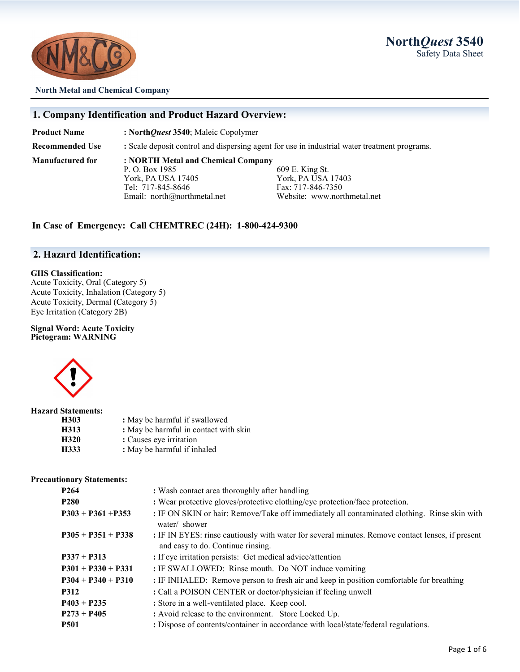**North***Quest* **3540** Safety Data Sheet



**North Metal and Chemical Company**

#### **1. Company Identification and Product Hazard Overview:**

**Product Name : North***Quest* **3540**; Maleic Copolymer

**Recommended Use :** Scale deposit control and dispersing agent for use in industrial water treatment programs. **Manufactured for : NORTH Metal and Chemical Company**

P. O. Box 1985 609 E. King St.<br>
York, PA USA 17405 609 E. King St. York, PA USA 17405<br>
Tel: 717-845-8646<br>
Fax: 717-846-7350

Fax: 717-846-7350 Email: north@northmetal.net Website: www.northmetal.net

### **In Case of Emergency: Call CHEMTREC (24H): 1-800-424-9300**

## **2. Hazard Identification:**

#### **GHS Classification:**

Acute Toxicity, Oral (Category 5) Acute Toxicity, Inhalation (Category 5) Acute Toxicity, Dermal (Category 5) Eye Irritation (Category 2B)

#### **Signal Word: Acute Toxicity Pictogram: WARNING**



#### **Hazard Statements:**

| H303 | : May be harmful if swallowed         |
|------|---------------------------------------|
| H313 | : May be harmful in contact with skin |
| H320 | : Causes eye irritation               |
| H333 | : May be harmful if inhaled           |

#### **Precautionary Statements:**

| P <sub>264</sub>     | : Wash contact area thoroughly after handling                                                                                         |  |
|----------------------|---------------------------------------------------------------------------------------------------------------------------------------|--|
| <b>P280</b>          | : Wear protective gloves/protective clothing/eye protection/face protection.                                                          |  |
| $P303 + P361 + P353$ | : IF ON SKIN or hair: Remove/Take off immediately all contaminated clothing. Rinse skin with<br>water/ shower                         |  |
| $P305 + P351 + P338$ | : IF IN EYES: rinse cautiously with water for several minutes. Remove contact lenses, if present<br>and easy to do. Continue rinsing. |  |
| $P337 + P313$        | : If eye irritation persists: Get medical advice/attention                                                                            |  |
| $P301 + P330 + P331$ | : IF SWALLOWED: Rinse mouth. Do NOT induce vomiting                                                                                   |  |
| $P304 + P340 + P310$ | : IF INHALED: Remove person to fresh air and keep in position comfortable for breathing                                               |  |
| <b>P312</b>          | : Call a POISON CENTER or doctor/physician if feeling unwell                                                                          |  |
| $P403 + P235$        | : Store in a well-ventilated place. Keep cool.                                                                                        |  |
| $P273 + P405$        | : Avoid release to the environment. Store Locked Up.                                                                                  |  |
| <b>P501</b>          | : Dispose of contents/container in accordance with local/state/federal regulations.                                                   |  |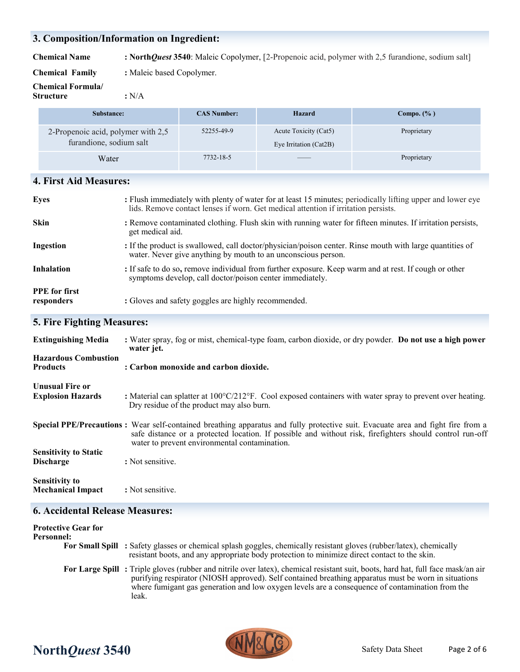## **3. Composition/Information on Ingredient:**

**Chemical Name : North***Quest* **3540**: Maleic Copolymer, [2-Propenoic acid, polymer with 2,5 furandione, sodium salt]

**Chemical Family :** Maleic based Copolymer.

**Chemical Formula/**

**Structure :** N/A

| Substance:                                                    | <b>CAS Number:</b> | Hazard                                                                                                                                                                                                                                                                                                                                                                                                                                                                     | Compo. $(\% )$ |
|---------------------------------------------------------------|--------------------|----------------------------------------------------------------------------------------------------------------------------------------------------------------------------------------------------------------------------------------------------------------------------------------------------------------------------------------------------------------------------------------------------------------------------------------------------------------------------|----------------|
| 2-Propenoic acid, polymer with 2,5<br>furandione, sodium salt | 52255-49-9         | Acute Toxicity (Cat5)<br>Eye Irritation (Cat2B)                                                                                                                                                                                                                                                                                                                                                                                                                            | Proprietary    |
| Water                                                         | 7732-18-5          | $\frac{1}{2} \left( \frac{1}{2} \right) \left( \frac{1}{2} \right) \left( \frac{1}{2} \right) \left( \frac{1}{2} \right) \left( \frac{1}{2} \right) \left( \frac{1}{2} \right) \left( \frac{1}{2} \right) \left( \frac{1}{2} \right) \left( \frac{1}{2} \right) \left( \frac{1}{2} \right) \left( \frac{1}{2} \right) \left( \frac{1}{2} \right) \left( \frac{1}{2} \right) \left( \frac{1}{2} \right) \left( \frac{1}{2} \right) \left( \frac{1}{2} \right) \left( \frac$ | Proprietary    |

## **4. First Aid Measures:**

| Eyes                               | : Flush immediately with plenty of water for at least 15 minutes; periodically lifting upper and lower eye<br>lids. Remove contact lenses if worn. Get medical attention if irritation persists. |
|------------------------------------|--------------------------------------------------------------------------------------------------------------------------------------------------------------------------------------------------|
| <b>Skin</b>                        | : Remove contaminated clothing. Flush skin with running water for fifteen minutes. If irritation persists,<br>get medical aid.                                                                   |
| Ingestion                          | : If the product is swallowed, call doctor/physician/poison center. Rinse mouth with large quantities of<br>water. Never give anything by mouth to an unconscious person.                        |
| <b>Inhalation</b>                  | : If safe to do so, remove individual from further exposure. Keep warm and at rest. If cough or other<br>symptoms develop, call doctor/poison center immediately.                                |
| <b>PPE</b> for first<br>responders | : Gloves and safety goggles are highly recommended.                                                                                                                                              |

## **5. Fire Fighting Measures:**

| <b>Extinguishing Media</b>                         | : Water spray, fog or mist, chemical-type foam, carbon dioxide, or dry powder. Do not use a high power<br>water jet.                                                                                                                                                                         |
|----------------------------------------------------|----------------------------------------------------------------------------------------------------------------------------------------------------------------------------------------------------------------------------------------------------------------------------------------------|
| <b>Hazardous Combustion</b><br><b>Products</b>     | : Carbon monoxide and carbon dioxide.                                                                                                                                                                                                                                                        |
| <b>Unusual Fire or</b><br><b>Explosion Hazards</b> | : Material can splatter at $100^{\circ}C/212^{\circ}F$ . Cool exposed containers with water spray to prevent over heating.<br>Dry residue of the product may also burn.                                                                                                                      |
|                                                    | Special PPE/Precautions: Wear self-contained breathing apparatus and fully protective suit. Evacuate area and fight fire from a<br>safe distance or a protected location. If possible and without risk, firefighters should control run-off<br>water to prevent environmental contamination. |
| <b>Sensitivity to Static</b><br><b>Discharge</b>   | : Not sensitive.                                                                                                                                                                                                                                                                             |
| <b>Sensitivity to</b><br><b>Mechanical Impact</b>  | : Not sensitive.                                                                                                                                                                                                                                                                             |

## **6. Accidental Release Measures:**

| <b>Protective Gear for</b><br>Personnel: |                                                                                                                                                                                                                                                                                                                                                     |
|------------------------------------------|-----------------------------------------------------------------------------------------------------------------------------------------------------------------------------------------------------------------------------------------------------------------------------------------------------------------------------------------------------|
|                                          | For Small Spill : Safety glasses or chemical splash goggles, chemically resistant gloves (rubber/latex), chemically<br>resistant boots, and any appropriate body protection to minimize direct contact to the skin.                                                                                                                                 |
|                                          | For Large Spill: Triple gloves (rubber and nitrile over latex), chemical resistant suit, boots, hard hat, full face mask/an air<br>purifying respirator (NIOSH approved). Self contained breathing apparatus must be worn in situations<br>where fumigant gas generation and low oxygen levels are a consequence of contamination from the<br>leak. |



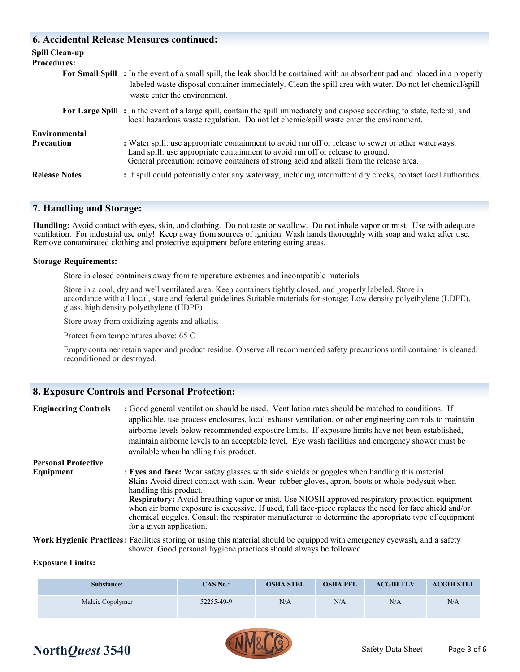## **6. Accidental Release Measures continued:**

| <b>Spill Clean-up</b><br><b>Procedures:</b> |                                                                                                                                                                                                                                                                                 |
|---------------------------------------------|---------------------------------------------------------------------------------------------------------------------------------------------------------------------------------------------------------------------------------------------------------------------------------|
|                                             | For Small Spill : In the event of a small spill, the leak should be contained with an absorbent pad and placed in a properly<br>labeled waste disposal container immediately. Clean the spill area with water. Do not let chemical/spill<br>waste enter the environment.        |
|                                             | For Large Spill: In the event of a large spill, contain the spill immediately and dispose according to state, federal, and<br>local hazardous waste regulation. Do not let chemic/spill waste enter the environment.                                                            |
| <b>Environmental</b>                        |                                                                                                                                                                                                                                                                                 |
| <b>Precaution</b>                           | : Water spill: use appropriate containment to avoid run off or release to sewer or other waterways.<br>Land spill: use appropriate containment to avoid run off or release to ground.<br>General precaution: remove containers of strong acid and alkali from the release area. |
| <b>Release Notes</b>                        | : If spill could potentially enter any waterway, including intermittent dry creeks, contact local authorities.                                                                                                                                                                  |

## **7. Handling and Storage:**

**Handling:** Avoid contact with eyes, skin, and clothing. Do not taste or swallow. Do not inhale vapor or mist. Use with adequate ventilation. For industrial use only! Keep away from sources of ignition. Wash hands thoroughly with soap and water after use. Remove contaminated clothing and protective equipment before entering eating areas.

### **Storage Requirements:**

Store in closed containers away from temperature extremes and incompatible materials.

Store in a cool, dry and well ventilated area. Keep containers tightly closed, and properly labeled. Store in accordance with all local, state and federal guidelines Suitable materials for storage: Low density polyethylene (LDPE), glass, high density polyethylene (HDPE)

Store away from oxidizing agents and alkalis.

Protect from temperatures above: 65 C

Empty container retain vapor and product residue. Observe all recommended safety precautions until container is cleaned, reconditioned or destroyed.

## **8. Exposure Controls and Personal Protection:**

| <b>Engineering Controls</b> | : Good general ventilation should be used. Ventilation rates should be matched to conditions. If<br>applicable, use process enclosures, local exhaust ventilation, or other engineering controls to maintain<br>airborne levels below recommended exposure limits. If exposure limits have not been established,<br>maintain airborne levels to an acceptable level. Eye wash facilities and emergency shower must be<br>available when handling this product.                                                                                                                     |
|-----------------------------|------------------------------------------------------------------------------------------------------------------------------------------------------------------------------------------------------------------------------------------------------------------------------------------------------------------------------------------------------------------------------------------------------------------------------------------------------------------------------------------------------------------------------------------------------------------------------------|
| <b>Personal Protective</b>  |                                                                                                                                                                                                                                                                                                                                                                                                                                                                                                                                                                                    |
| Equipment                   | : Eyes and face: Wear safety glasses with side shields or goggles when handling this material.<br>Skin: Avoid direct contact with skin. Wear rubber gloves, apron, boots or whole bodysuit when<br>handling this product.<br><b>Respiratory:</b> Avoid breathing vapor or mist. Use NIOSH approved respiratory protection equipment<br>when air borne exposure is excessive. If used, full face-piece replaces the need for face shield and/or<br>chemical goggles. Consult the respirator manufacturer to determine the appropriate type of equipment<br>for a given application. |

**Work Hygienic Practices:** Facilities storing or using this material should be equipped with emergency eyewash, and a safety shower. Good personal hygiene practices should always be followed.

## **Exposure Limits:**

| Substance:       | $CAS$ No.: | <b>OSHA STEL</b> | <b>OSHA PEL</b> | <b>ACGIH TLV</b> | <b>ACGIH STEL</b> |
|------------------|------------|------------------|-----------------|------------------|-------------------|
| Maleic Copolymer | 52255-49-9 | N/A              | N/A             | N/A              | N/A               |



## **North***Quest* **3540** Safety Data Sheet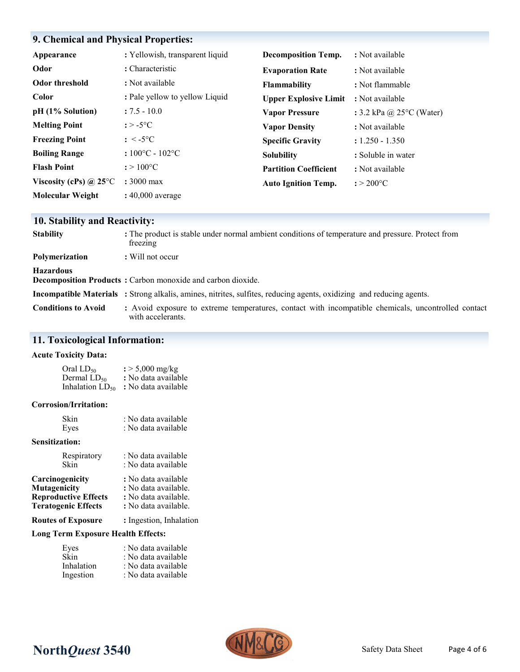## **9. Chemical and Physical Properties:**

| Appearance                    | : Yellowish, transparent liquid     | <b>Decomposition Temp.</b>   | : Not available                    |
|-------------------------------|-------------------------------------|------------------------------|------------------------------------|
| Odor                          | : Characteristic                    | <b>Evaporation Rate</b>      | : Not available                    |
| Odor threshold                | : Not available                     | Flammability                 | : Not flammable                    |
| <b>Color</b>                  | : Pale yellow to yellow Liquid      | <b>Upper Explosive Limit</b> | : Not available                    |
| $pH (1\%$ Solution)           | $: 7.5 - 10.0$                      | <b>Vapor Pressure</b>        | : 3.2 kPa @ 25 $\degree$ C (Water) |
| <b>Melting Point</b>          | $: > -5$ °C                         | <b>Vapor Density</b>         | : Not available                    |
| <b>Freezing Point</b>         | $\therefore$ < -5°C                 | <b>Specific Gravity</b>      | $: 1.250 - 1.350$                  |
| <b>Boiling Range</b>          | $:100^{\circ}$ C - 102 $^{\circ}$ C | <b>Solubility</b>            | : Soluble in water                 |
| <b>Flash Point</b>            | $: > 100^{\circ}C$                  | <b>Partition Coefficient</b> | : Not available                    |
| Viscosity (cPs) $\omega$ 25°C | $: 3000 \text{ max}$                | <b>Auto Ignition Temp.</b>   | $: > 200$ °C                       |
| <b>Molecular Weight</b>       | $: 40,000$ average                  |                              |                                    |

## **10. Stability and Reactivity:**

| <b>Stability</b>           | : The product is stable under normal ambient conditions of temperature and pressure. Protect from<br>freezing               |
|----------------------------|-----------------------------------------------------------------------------------------------------------------------------|
| <b>Polymerization</b>      | : Will not occur                                                                                                            |
| <b>Hazardous</b>           | Decomposition Products: Carbon monoxide and carbon dioxide.                                                                 |
|                            | <b>Incompatible Materials</b> : Strong alkalis, amines, nitrites, sulfites, reducing agents, oxidizing and reducing agents. |
| <b>Conditions to Avoid</b> | : Avoid exposure to extreme temperatures, contact with incompatible chemicals, uncontrolled contact<br>with accelerants.    |

## **11. Toxicological Information:**

#### **Acute Toxicity Data:**

| Oral LD50                   | $\frac{1}{2}$ > 5,000 mg/kg |
|-----------------------------|-----------------------------|
| Dermal LD <sub>50</sub>     | : No data available         |
| Inhalation LD <sub>50</sub> | : No data available         |

#### **Corrosion/Irritation:**

| Skin                  | : No data available  |
|-----------------------|----------------------|
| Eyes                  | : No data available  |
| <b>Sensitization:</b> |                      |
| Respiratory           | : No data available  |
| Skin                  | : No data available  |
| Carcinogenicity       | : No data available  |
| Mutagenicity          | : No data available. |

| <b>Reproductive Effects</b> | : No data available. |
|-----------------------------|----------------------|
| <b>Teratogenic Effects</b>  | : No data available. |

**Routes of Exposure :** Ingestion, Inhalation

## **Long Term Exposure Health Effects:**

| Eyes       | : No data available |
|------------|---------------------|
| Skin       | : No data available |
| Inhalation | : No data available |
| Ingestion  | : No data available |

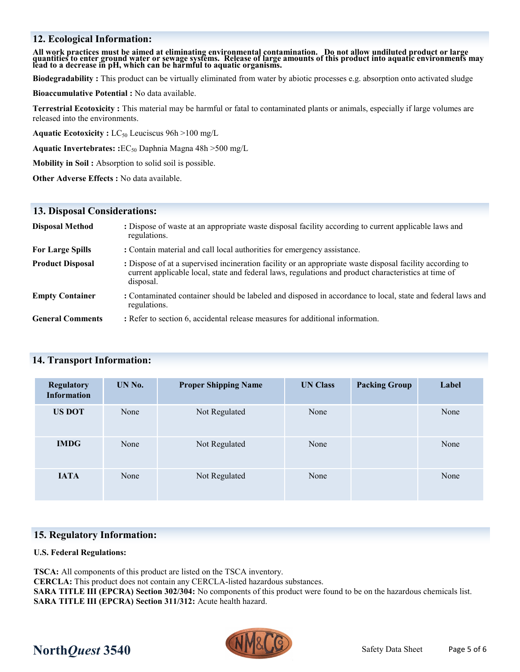## **12. Ecological Information:**

All work practices must be aimed at eliminating environmental contamination. Do not allow undiluted product or large<br>quantities to enter ground water or sewage systems. Release of large amounts of this product into aquatic

**Biodegradability :** This product can be virtually eliminated from water by abiotic processes e.g. absorption onto activated sludge

**Bioaccumulative Potential :** No data available.

**Terrestrial Ecotoxicity :** This material may be harmful or fatal to contaminated plants or animals, especially if large volumes are released into the environments.

**Aquatic Ecotoxicity :** LC<sub>50</sub> Leuciscus 96h >100 mg/L

**Aquatic Invertebrates: :**EC<sup>50</sup> Daphnia Magna 48h >500 mg/L

**Mobility in Soil :** Absorption to solid soil is possible.

**Other Adverse Effects :** No data available.

#### **13. Disposal Considerations:**

| <b>Disposal Method</b>  | : Dispose of waste at an appropriate waste disposal facility according to current applicable laws and<br>regulations.                                                                                                          |
|-------------------------|--------------------------------------------------------------------------------------------------------------------------------------------------------------------------------------------------------------------------------|
| <b>For Large Spills</b> | : Contain material and call local authorities for emergency assistance.                                                                                                                                                        |
| <b>Product Disposal</b> | : Dispose of at a supervised incineration facility or an appropriate waste disposal facility according to<br>current applicable local, state and federal laws, regulations and product characteristics at time of<br>disposal. |
| <b>Empty Container</b>  | : Contaminated container should be labeled and disposed in accordance to local, state and federal laws and<br>regulations.                                                                                                     |
| <b>General Comments</b> | : Refer to section 6, accidental release measures for additional information.                                                                                                                                                  |

#### **14. Transport Information:**

| <b>Regulatory</b><br><b>Information</b> | UN No. | <b>Proper Shipping Name</b> | <b>UN Class</b> | <b>Packing Group</b> | Label |
|-----------------------------------------|--------|-----------------------------|-----------------|----------------------|-------|
| <b>US DOT</b>                           | None   | Not Regulated               | None            |                      | None  |
| <b>IMDG</b>                             | None   | Not Regulated               | None            |                      | None  |
| <b>IATA</b>                             | None   | Not Regulated               | None            |                      | None  |

#### **15. Regulatory Information:**

#### **U.S. Federal Regulations:**

**TSCA:** All components of this product are listed on the TSCA inventory.

**CERCLA:** This product does not contain any CERCLA-listed hazardous substances.

**SARA TITLE III (EPCRA) Section 302/304:** No components of this product were found to be on the hazardous chemicals list. **SARA TITLE III (EPCRA) Section 311/312:** Acute health hazard.